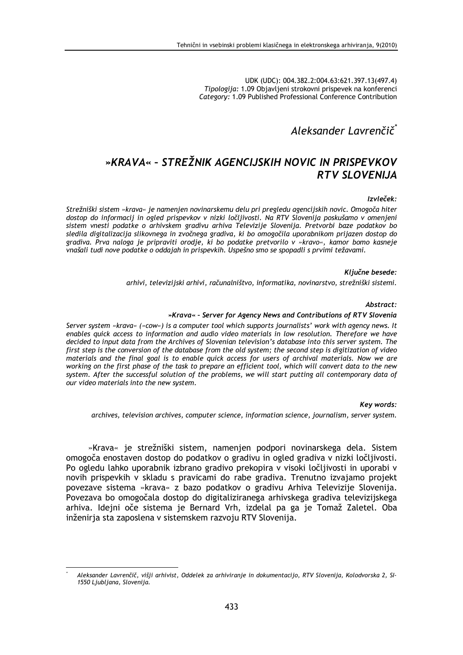UDK (UDC): 004.382.2:004.63:621.397.13(497.4) Tipologija: 1.09 Objavljeni strokovni prispevek na konferenci Category: 1.09 Published Professional Conference Contribution

# Aleksander Lavrenčič

# »KRAVA« - STREŽNIK AGENCIJSKIH NOVIC IN PRISPEVKOV **RTV SLOVENLIA**

### Izvleček:

Strežniški sistem »krava« je namenjen novinarskemu delu pri pregledu agencijskih novic. Omogoča hiter dostop do informacij in ogled prispevkov v nizki ločljivosti. Na RTV Slovenija poskušamo v omenjeni sistem vnesti podatke o arhivskem gradivu arhiva Televizije Slovenija. Pretvorbi baze podatkov bo sledila digitalizacija slikovnega in zvočnega gradiva, ki bo omogočila uporabnikom prijazen dostop do gradiva. Prva naloga je pripraviti orodje, ki bo podatke pretvorilo v »kravo«, kamor bomo kasneje vnašali tudi nove podatke o oddajah in prispevkih. Uspešno smo se spopadli s prvimi težavami.

### Ključne besede:

arhivi, televizijski arhivi, računalništvo, informatika, novinarstvo, strežniški sistemi.

#### Abstract:

### »Krava« - Server for Agency News and Contributions of RTV Slovenia

Server system »krava« (»cow«) is a computer tool which supports journalists' work with agency news. It enables quick access to information and audio video materials in low resolution. Therefore we have decided to input data from the Archives of Slovenian television's database into this server system. The first step is the conversion of the database from the old system; the second step is digitization of video materials and the final goal is to enable quick access for users of archival materials. Now we are working on the first phase of the task to prepare an efficient tool, which will convert data to the new system. After the successful solution of the problems, we will start putting all contemporary data of our video materials into the new system.

#### Kev words:

archives, television archives, computer science, information science, journalism, server system.

»Krava« je strežniški sistem, namenjen podpori novinarskega dela. Sistem omogoča enostaven dostop do podatkov o gradivu in ogled gradiva v nizki ločljivosti. Po ogledu lahko uporabnik izbrano gradivo prekopira v visoki ločljivosti in uporabi v novih prispevkih v skladu s pravicami do rabe gradiva. Trenutno izvajamo projekt povezave sistema »krava« z bazo podatkov o gradivu Arhiva Televizije Slovenija. Povezava bo omogočala dostop do digitaliziranega arhivskega gradiva televizijskega arhiva. Idejni oče sistema je Bernard Vrh, izdelal pa ga je Tomaž Zaletel. Oba inženiria sta zaposlena v sistemskem razvoju RTV Slovenija.

Aleksander Lavrenčič, višji arhivist, Oddelek za arhiviranje in dokumentacijo, RTV Slovenija, Kolodvorska 2, SI-1550 Ljubljana, Slovenija.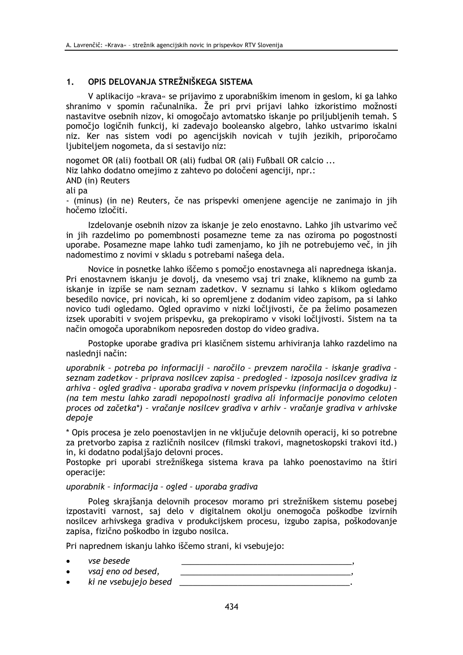#### OPIS DELOVANJA STREŽNIŠKEGA SISTEMA  $1.$

V aplikacijo »krava« se prijavimo z uporabniškim imenom in geslom, ki ga lahko shranimo v spomin računalnika. Že pri prvi prijavi lahko izkoristimo možnosti nastavitve osebnih nizov, ki omogočajo avtomatsko iskanje po priljubljenih temah. S pomočio logičnih funkcij, ki zadevajo booleansko algebro, lahko ustvarimo iskalni niz. Ker nas sistem vodi po agencijskih novicah v tujih jezikih, priporočamo ljubiteljem nogometa, da si sestavijo niz:

nogomet OR (ali) football OR (ali) fudbal OR (ali) Fußball OR calcio ...

Niz lahko dodatno omejimo z zahtevo po določeni agenciji, npr.:

AND (in) Reuters

ali pa

- (minus) (in ne) Reuters, če nas prispevki omenjene agencije ne zanimajo in jih hočemo izločiti.

Izdelovanje osebnih nizov za iskanje je zelo enostavno. Lahko jih ustvarimo več in jih razdelimo po pomembnosti posamezne teme za nas oziroma po pogostnosti uporabe. Posamezne mape lahko tudi zamenjamo, ko jih ne potrebujemo več, in jih nadomestimo z novimi v skladu s potrebami našega dela.

Novice in posnetke lahko iščemo s pomočjo enostavnega ali naprednega iskanja. Pri enostavnem iskanju je dovolj, da vnesemo vsaj tri znake, kliknemo na gumb za iskanje in izpiše se nam seznam zadetkov. V seznamu si lahko s klikom ogledamo besedilo novice, pri novicah, ki so opremljene z dodanim video zapisom, pa si lahko novico tudi ogledamo. Ogled opravimo v nizki ločljivosti, če pa želimo posamezen izsek uporabiti v svojem prispevku, ga prekopiramo v visoki ločljivosti. Sistem na ta način omogoča uporabnikom neposreden dostop do video gradiva.

Postopke uporabe gradiva pri klasičnem sistemu arhiviranja lahko razdelimo na naslednii način:

uporabnik - potreba po informaciji - naročilo - prevzem naročila - iskanje gradiva seznam zadetkov - priprava nosilcev zapisa - predogled - izposoja nosilcev gradiva iz arhiva - ogled gradiva - uporaba gradiva y novem prispevku (informacija o dogodku) -(na tem mestu lahko zaradi nepopolnosti gradiva ali informacije ponovimo celoten proces od začetka\*) - vračanje nosilcev gradiva v arhiv - vračanje gradiva v arhivske depoje

\* Opis procesa je zelo poenostavljen in ne vključuje delovnih operacij, ki so potrebne za pretvorbo zapisa z različnih nosilcev (filmski trakovi, magnetoskopski trakovi itd.) in, ki dodatno podaljšajo delovni proces.

Postopke pri uporabi strežniškega sistema krava pa lahko poenostavimo na štiri operacije:

## uporabnik - informacija - ogled - uporaba gradiva

Poleg skrajšanja delovnih procesov moramo pri strežniškem sistemu posebej izpostaviti varnost, saj delo v digitalnem okolju onemogoča poškodbe izvirnih nosilcev arhivskega gradiva v produkcijskem procesu, izgubo zapisa, poškodovanje zapisa, fizično poškodbo in izgubo nosilca.

Pri naprednem iskanju lahko iščemo strani, ki vsebujejo:

- vse besede
- vsaj eno od besed,
- $ki$  ne vsebujejo besed  $\qquad \qquad$

<u> 1989 - Johann John Stone, mars eta bat eta bat eta bat eta bat eta bat eta bat eta bat eta bat eta bat eta b</u>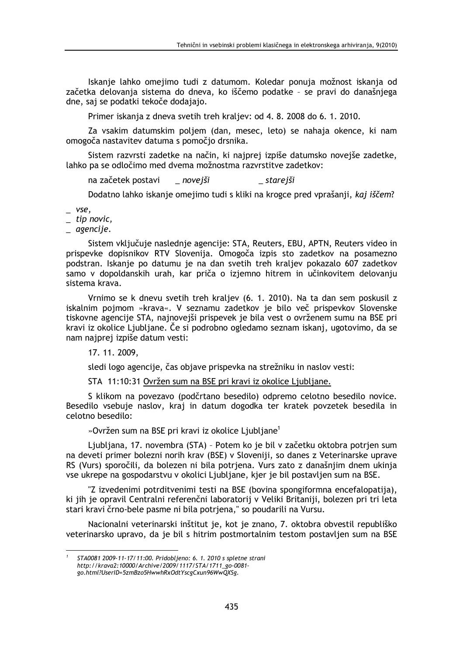Iskanje lahko omejimo tudi z datumom. Koledar ponuja možnost iskanja od začetka delovanja sistema do dneva, ko iščemo podatke - se pravi do današnjega dne, saj se podatki tekoče dodajajo.

Primer iskanja z dneva svetih treh kraljev: od 4.8. 2008 do 6.1. 2010.

Za vsakim datumskim poljem (dan, mesec, leto) se nahaja okence, ki nam omogoča nastavitev datuma s pomočio drsnika.

Sistem razvrsti zadetke na način, ki najprej izpiše datumsko novejše zadetke, lahko pa se odločimo med dvema možnostma razvrstitve zadetkov:

na začetek postavi \_ novejši \_ starejši

Dodatno lahko iskanje omejimo tudi s kliki na krogce pred vprašanji, kaj iščem?

 $Vse.$ 

 $_$  tip novic,

agencije.

Sistem vključuje naslednje agencije: STA, Reuters, EBU, APTN, Reuters video in prispevke dopisnikov RTV Slovenija. Omogoča izpis sto zadetkov na posamezno podstran. Iskanje po datumu je na dan svetih treh kraljev pokazalo 607 zadetkov samo v dopoldanskih urah, kar priča o izjemno hitrem in učinkovitem delovanju sistema krava.

Vrnimo se k dnevu svetih treh kraljev (6. 1. 2010). Na ta dan sem poskusil z iskalnim pojmom »krava«. V seznamu zadetkov je bilo več prispevkov Slovenske tiskovne agencije STA, najnovejši prispevek je bila vest o ovrženem sumu na BSE pri kravi iz okolice Ljubljane. Če si podrobno ogledamo seznam iskanj, ugotovimo, da se nam najprej izpiše datum vesti:

17. 11. 2009,

sledi logo agencije, čas objave prispevka na strežniku in naslov vesti:

STA 11:10:31 Ovržen sum na BSE pri kravi iz okolice Liubliane.

S klikom na povezavo (podčrtano besedilo) odpremo celotno besedilo novice. Besedilo vsebuje naslov, kraj in datum dogodka ter kratek povzetek besedila in celotno besedilo:

»Ovržen sum na BSE pri kravi iz okolice Ljubljane<sup>1</sup>

Ljubljana, 17. novembra (STA) - Potem ko je bil v začetku oktobra potrjen sum na deveti primer bolezni norih krav (BSE) v Sloveniji, so danes z Veterinarske uprave RS (Vurs) sporočili, da bolezen ni bila potriena. Vurs zato z današnjim dnem ukinja vse ukrepe na gospodarstvu v okolici Ljubljane, kjer je bil postavljen sum na BSE.

"Z izvedenimi potrditvenimi testi na BSE (bovina spongiformna encefalopatija), ki jih je opravil Centralni referenčni laboratorij v Veliki Britaniji, bolezen pri tri leta stari kravi črno-bele pasme ni bila potrjena," so poudarili na Vursu.

Nacionalni veterinarski inštitut je, kot je znano, 7. oktobra obvestil republiško veterinarsko upravo, da je bil s hitrim postmortalnim testom postavljen sum na BSE

STA0081 2009-11-17/11:00. Pridobljeno: 6. 1. 2010 s spletne strani http://krava2:10000/Archive/2009/1117/STA/1711\_go-0081go.html?UserID=5zmBzo5HwwhRxOdtYscgCxun96WwQXSg.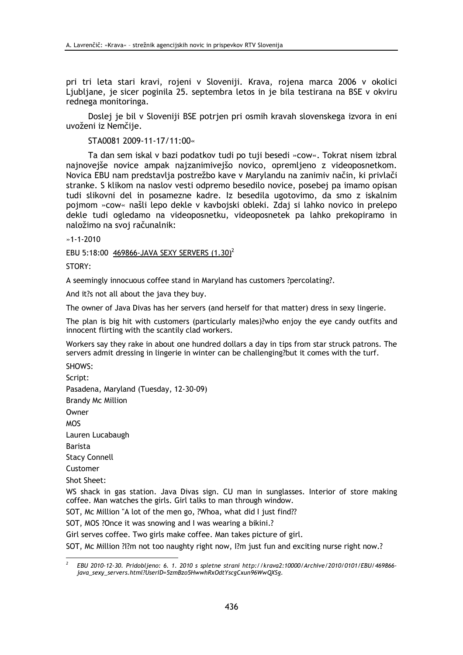pri tri leta stari kravi, rojeni v Sloveniji. Krava, rojena marca 2006 v okolici Ljubljane, je sicer poginila 25. septembra letos in je bila testirana na BSE v okviru rednega monitoringa.

Doslej je bil v Sloveniji BSE potrjen pri osmih kravah slovenskega izvora in eni uvoženi iz Nemčije.

STA0081 2009-11-17/11:00«

Ta dan sem iskal v bazi podatkov tudi po tuji besedi »cow«. Tokrat nisem izbral najnovejše novice ampak najzanimivejšo novico, opremljeno z videoposnetkom. Novica EBU nam predstavlja postrežbo kave v Marylandu na zanimiv način, ki privlači stranke. S klikom na naslov vesti odpremo besedilo novice, posebej pa imamo opisan tudi slikovni del in posamezne kadre. Iz besedila ugotovimo, da smo z iskalnim pojmom »cow« našli lepo dekle v kavbojski obleki. Zdaj si lahko novico in prelepo dekle tudi ogledamo na videoposnetku, videoposnetek pa lahko prekopiramo in naložimo na svoj računalnik:

 $*1 - 1 - 2010$ 

EBU 5:18:00 469866-JAVA SEXY SERVERS (1.30)<sup>2</sup>

STORY:

A seemingly innocuous coffee stand in Maryland has customers ?percolating?.

And it?s not all about the java they buy.

The owner of Java Divas has her servers (and herself for that matter) dress in sexy lingerie.

The plan is big hit with customers (particularly males)?who enjoy the eye candy outfits and innocent flirting with the scantily clad workers.

Workers say they rake in about one hundred dollars a day in tips from star struck patrons. The servers admit dressing in lingerie in winter can be challenging?but it comes with the turf.

SHOWS: Script: Pasadena, Maryland (Tuesday, 12-30-09) **Brandy Mc Million** Owner **MOS** Lauren Lucabaugh **Barista Stacy Connell** Customer Shot Sheet:

WS shack in gas station. Java Divas sign. CU man in sunglasses. Interior of store making coffee. Man watches the girls. Girl talks to man through window.

SOT, Mc Million "A lot of the men go, ?Whoa, what did I just find??

SOT, MOS ? Once it was snowing and I was wearing a bikini.?

Girl serves coffee. Two girls make coffee. Man takes picture of girl. SOT, Mc Million ?!?m not too naughty right now, I?m just fun and exciting nurse right now.?

EBU 2010-12-30. Pridobljeno: 6. 1. 2010 s spletne strani http://krava2:10000/Archive/2010/0101/EBU/469866java\_sexy\_servers.html?UserID=5zmBzo5HwwhRxOdtYscgCxun96WwQXSg.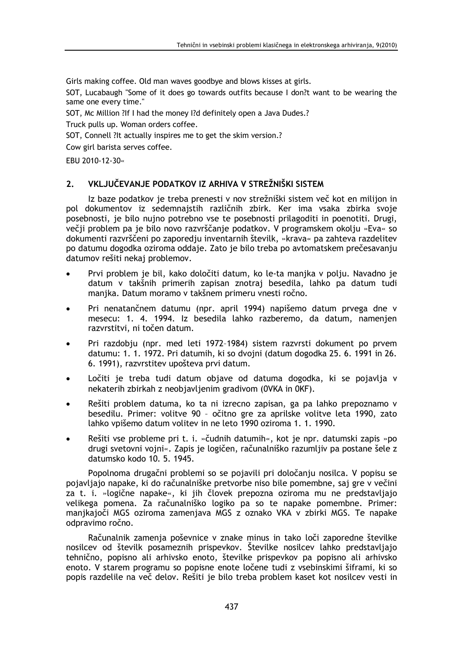Girls making coffee. Old man waves goodbye and blows kisses at girls.

SOT, Lucabaugh "Some of it does go towards outfits because I don?t want to be wearing the same one every time."

SOT, Mc Million ?If I had the money I?d definitely open a Java Dudes.?

Truck pulls up. Woman orders coffee.

SOT, Connell ?It actually inspires me to get the skim version.?

Cow girl barista serves coffee.

EBU 2010-12-30«

#### VKLJUČEVANJE PODATKOV IZ ARHIVA V STREŽNIŠKI SISTEM  $2.$

Iz baze podatkov je treba prenesti v nov strežniški sistem več kot en milijon in pol dokumentov iz sedemnajstih različnih zbirk. Ker ima vsaka zbirka svoje posebnosti, je bilo nujno potrebno vse te posebnosti prilagoditi in poenotiti. Drugi, večii problem pa je bilo novo razvrščanje podatkov. V programskem okolju »Eva« so dokumenti razvrščeni po zaporedju inventarnih številk, »krava« pa zahteva razdelitev po datumu dogodka oziroma oddaje. Zato je bilo treba po avtomatskem prečesavanju datumov rešiti nekaj problemov.

- Prvi problem je bil, kako določiti datum, ko le-ta manjka v polju. Navadno je datum v takšnih primerih zapisan znotraj besedila, lahko pa datum tudi manjka. Datum moramo v takšnem primeru vnesti ročno.
- Pri nenatančnem datumu (npr. april 1994) napišemo datum prvega dne v mesecu: 1. 4. 1994. Iz besedila lahko razberemo, da datum, namenjen razvrstitvi, ni točen datum.
- Pri razdobju (npr. med leti 1972-1984) sistem razvrsti dokument po prvem datumu: 1, 1, 1972. Pri datumih, ki so dvojni (datum dogodka 25, 6, 1991 in 26. 6. 1991), razvrstitev upošteva prvi datum.
- Ločiti je treba tudi datum objave od datuma dogodka, ki se pojavlja v nekaterih zbirkah z neobjavljenim gradivom (OVKA in OKF).
- Rešiti problem datuma, ko ta ni izrecno zapisan, ga pa lahko prepoznamo v besedilu. Primer: volitve 90 - očitno gre za aprilske volitve leta 1990, zato lahko vpišemo datum volitev in ne leto 1990 oziroma 1, 1, 1990.
- Rešiti vse probleme pri t. i. »čudnih datumih«, kot je npr. datumski zapis »po drugi svetovni vojni«. Zapis je logičen, računalniško razumljiv pa postane šele z datumsko kodo 10. 5. 1945.

Popolnoma drugačni problemi so se pojavili pri določanju nosilca. V popisu se pojavljajo napake, ki do računalniške pretvorbe niso bile pomembne, saj gre v večini za t. i. »logične napake«, ki jih človek prepozna oziroma mu ne predstavljajo velikega pomena. Za računalniško logiko pa so te napake pomembne. Primer: manjkajoči MGS oziroma zamenjava MGS z oznako VKA v zbirki MGS. Te napake odpravimo ročno.

Računalnik zamenja poševnice v znake minus in tako loči zaporedne številke nosilcev od številk posameznih prispevkov. Številke nosilcev lahko predstavljajo tehnično, popisno ali arhivsko enoto, številke prispevkov pa popisno ali arhivsko enoto. V starem programu so popisne enote ločene tudi z vsebinskimi šiframi, ki so popis razdelile na več delov. Rešiti je bilo treba problem kaset kot nosilcev vesti in